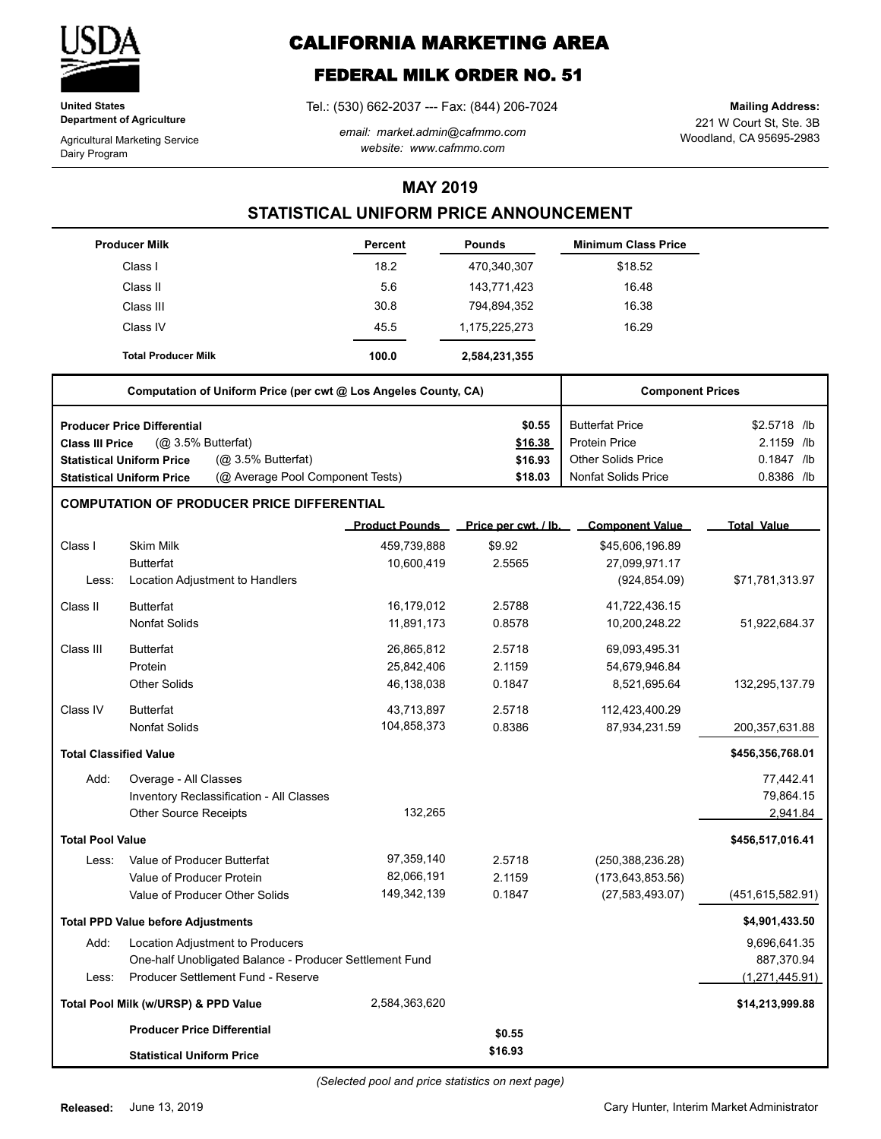

**United States Department of Agriculture**

Agricultural Marketing Service Dairy Program

# **CALIFORNIA MARKETING AREA**

# **FEDERAL MILK ORDER NO. 51**

Tel.: (530) 662-2037 --- Fax: (844) 206-7024

*email: market.admin@cafmmo.com website: www.cafmmo.com*

221 W Court St, Ste. 3B Woodland, CA 95695-2983 **Mailing Address:**

### **MAY 2019**

## **STATISTICAL UNIFORM PRICE ANNOUNCEMENT**

|                                           | <b>Producer Milk</b>                                                 | <b>Percent</b>        | <b>Pounds</b>        | <b>Minimum Class Price</b> |                         |  |  |
|-------------------------------------------|----------------------------------------------------------------------|-----------------------|----------------------|----------------------------|-------------------------|--|--|
|                                           | Class I                                                              | 18.2                  | 470,340,307          | \$18.52                    |                         |  |  |
|                                           | Class II                                                             | 5.6                   | 143,771,423          | 16.48                      |                         |  |  |
|                                           | Class III                                                            | 30.8                  | 794,894,352          | 16.38                      |                         |  |  |
|                                           | Class IV                                                             | 45.5                  | 1,175,225,273        | 16.29                      |                         |  |  |
|                                           | <b>Total Producer Milk</b>                                           | 100.0                 | 2,584,231,355        |                            |                         |  |  |
|                                           | Computation of Uniform Price (per cwt @ Los Angeles County, CA)      |                       |                      |                            | <b>Component Prices</b> |  |  |
|                                           | <b>Producer Price Differential</b>                                   |                       | \$0.55               | <b>Butterfat Price</b>     | \$2.5718 /lb            |  |  |
| Class III Price                           | (Q <sub>2</sub> 3.5% Butterfat)                                      |                       | \$16.38              | <b>Protein Price</b>       | 2.1159 /lb              |  |  |
|                                           | (@ 3.5% Butterfat)<br><b>Statistical Uniform Price</b>               |                       | \$16.93              | <b>Other Solids Price</b>  | 0.1847 /lb              |  |  |
|                                           | (@ Average Pool Component Tests)<br><b>Statistical Uniform Price</b> |                       | \$18.03              | <b>Nonfat Solids Price</b> | 0.8386 /lb              |  |  |
|                                           | <b>COMPUTATION OF PRODUCER PRICE DIFFERENTIAL</b>                    |                       |                      |                            |                         |  |  |
|                                           |                                                                      | <b>Product Pounds</b> | Price per cwt. / lb. | <b>Component Value</b>     | <b>Total Value</b>      |  |  |
| Class I                                   | <b>Skim Milk</b>                                                     | 459,739,888           | \$9.92               | \$45,606,196.89            |                         |  |  |
|                                           | <b>Butterfat</b>                                                     | 10,600,419            | 2.5565               | 27,099,971.17              |                         |  |  |
| Less:                                     | Location Adjustment to Handlers                                      |                       |                      | (924, 854.09)              | \$71,781,313.97         |  |  |
| Class II                                  | <b>Butterfat</b>                                                     | 16,179,012            | 2.5788               | 41,722,436.15              |                         |  |  |
|                                           | <b>Nonfat Solids</b>                                                 | 11,891,173            | 0.8578               | 10,200,248.22              | 51,922,684.37           |  |  |
| Class III                                 | <b>Butterfat</b>                                                     | 26,865,812            | 2.5718               | 69,093,495.31              |                         |  |  |
|                                           | Protein                                                              | 25,842,406            | 2.1159               | 54,679,946.84              |                         |  |  |
|                                           | <b>Other Solids</b>                                                  | 46,138,038            | 0.1847               | 8,521,695.64               | 132,295,137.79          |  |  |
| Class IV                                  | <b>Butterfat</b>                                                     | 43,713,897            | 2.5718               | 112,423,400.29             |                         |  |  |
|                                           | <b>Nonfat Solids</b>                                                 | 104,858,373           | 0.8386               | 87,934,231.59              | 200,357,631.88          |  |  |
| <b>Total Classified Value</b>             |                                                                      |                       |                      |                            | \$456,356,768.01        |  |  |
| Add:                                      | Overage - All Classes                                                |                       |                      |                            | 77,442.41               |  |  |
|                                           | Inventory Reclassification - All Classes                             |                       |                      |                            | 79,864.15               |  |  |
|                                           | <b>Other Source Receipts</b>                                         | 132,265               |                      |                            | 2,941.84                |  |  |
| <b>Total Pool Value</b>                   |                                                                      |                       |                      |                            | \$456,517,016.41        |  |  |
| Less:                                     | Value of Producer Butterfat                                          | 97,359,140            | 2.5718               | (250, 388, 236.28)         |                         |  |  |
|                                           | Value of Producer Protein                                            | 82,066,191            | 2.1159               | (173, 643, 853.56)         |                         |  |  |
|                                           | Value of Producer Other Solids                                       | 149,342,139           | 0.1847               | (27, 583, 493.07)          | (451,615,582.91)        |  |  |
| <b>Total PPD Value before Adjustments</b> |                                                                      |                       |                      |                            | \$4,901,433.50          |  |  |
| Add:                                      | Location Adjustment to Producers                                     |                       |                      |                            | 9,696,641.35            |  |  |
|                                           | One-half Unobligated Balance - Producer Settlement Fund              |                       |                      |                            | 887,370.94              |  |  |
| Less:                                     | Producer Settlement Fund - Reserve                                   |                       |                      |                            | (1, 271, 445.91)        |  |  |
|                                           | Total Pool Milk (w/URSP) & PPD Value                                 | 2,584,363,620         |                      |                            | \$14,213,999.88         |  |  |
|                                           | <b>Producer Price Differential</b>                                   |                       | \$0.55               |                            |                         |  |  |
|                                           | <b>Statistical Uniform Price</b>                                     |                       | \$16.93              |                            |                         |  |  |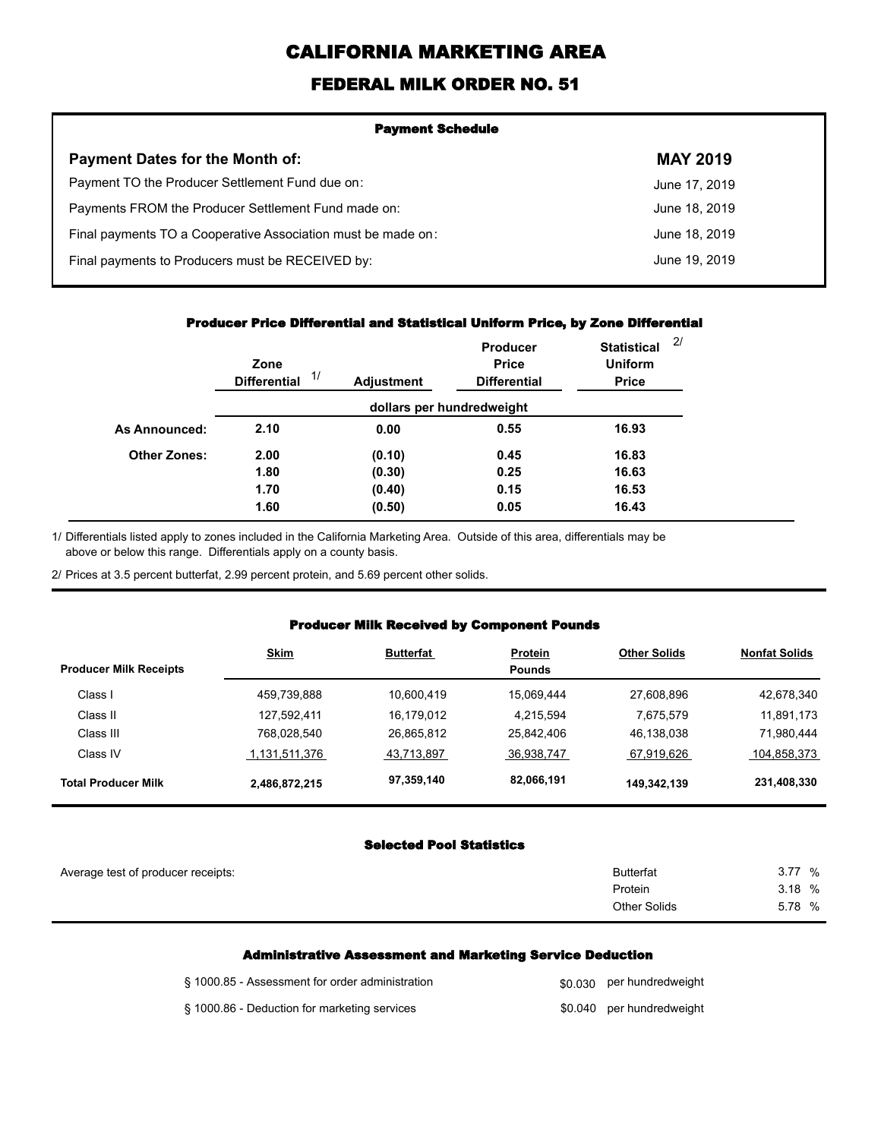# **CALIFORNIA MARKETING AREA**

## **FEDERAL MILK ORDER NO. 51**

| <b>Payment Schedule</b>                                      |                 |  |  |  |
|--------------------------------------------------------------|-----------------|--|--|--|
| <b>Payment Dates for the Month of:</b>                       | <b>MAY 2019</b> |  |  |  |
| Payment TO the Producer Settlement Fund due on:              | June 17, 2019   |  |  |  |
| Payments FROM the Producer Settlement Fund made on:          | June 18, 2019   |  |  |  |
| Final payments TO a Cooperative Association must be made on: | June 18, 2019   |  |  |  |
| Final payments to Producers must be RECEIVED by:             | June 19, 2019   |  |  |  |
|                                                              |                 |  |  |  |

#### **Producer Price Differential and Statistical Uniform Price, by Zone Differential**

|                     | Zone<br>1/<br><b>Differential</b> | <b>Adjustment</b> | Producer<br><b>Price</b><br><b>Differential</b> | <b>Statistical</b><br><b>Uniform</b><br><b>Price</b> | 2/ |
|---------------------|-----------------------------------|-------------------|-------------------------------------------------|------------------------------------------------------|----|
|                     |                                   |                   | dollars per hundredweight                       |                                                      |    |
| As Announced:       | 2.10                              | 0.00              | 0.55                                            | 16.93                                                |    |
| <b>Other Zones:</b> | 2.00                              | (0.10)            | 0.45                                            | 16.83                                                |    |
|                     | 1.80                              | (0.30)            | 0.25                                            | 16.63                                                |    |
|                     | 1.70                              | (0.40)            | 0.15                                            | 16.53                                                |    |
|                     | 1.60                              | (0.50)            | 0.05                                            | 16.43                                                |    |

Differentials listed apply to zones included in the California Marketing Area. Outside of this area, differentials may be above or below this range. Differentials apply on a county basis. 1/

2/ Prices at 3.5 percent butterfat, 2.99 percent protein, and 5.69 percent other solids.

### **Producer Milk Received by Component Pounds**

|                               | <b>Skim</b>   | <b>Butterfat</b> | <b>Protein</b> | <b>Other Solids</b> | <b>Nonfat Solids</b> |
|-------------------------------|---------------|------------------|----------------|---------------------|----------------------|
| <b>Producer Milk Receipts</b> |               |                  | <b>Pounds</b>  |                     |                      |
| Class I                       | 459,739,888   | 10.600.419       | 15.069.444     | 27,608,896          | 42,678,340           |
| Class II                      | 127,592,411   | 16,179,012       | 4.215.594      | 7,675,579           | 11,891,173           |
| Class III                     | 768,028,540   | 26,865,812       | 25,842,406     | 46,138,038          | 71,980,444           |
| Class IV                      | 1,131,511,376 | 43,713,897       | 36,938,747     | 67,919,626          | 104,858,373          |
| <b>Total Producer Milk</b>    | 2,486,872,215 | 97,359,140       | 82,066,191     | 149,342,139         | 231,408,330          |

### **Selected Pool Statistics**

| Average test of producer receipts: | <b>Butterfat</b>    | 377<br>% |
|------------------------------------|---------------------|----------|
|                                    | Protein             | 3.18 %   |
|                                    | <b>Other Solids</b> | 5.78 %   |
|                                    |                     |          |

#### **Administrative Assessment and Marketing Service Deduction**

| § 1000.85 - Assessment for order administration | \$0,030 per hundredweight |
|-------------------------------------------------|---------------------------|
| § 1000.86 - Deduction for marketing services    | \$0.040 per hundredweight |